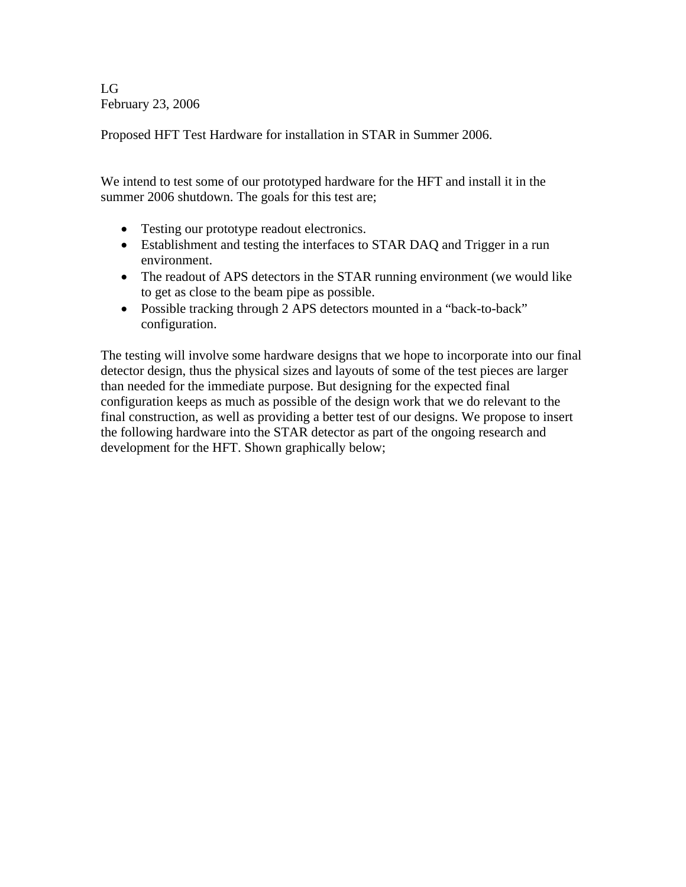LG February 23, 2006

Proposed HFT Test Hardware for installation in STAR in Summer 2006.

We intend to test some of our prototyped hardware for the HFT and install it in the summer 2006 shutdown. The goals for this test are;

- Testing our prototype readout electronics.
- Establishment and testing the interfaces to STAR DAQ and Trigger in a run environment.
- The readout of APS detectors in the STAR running environment (we would like to get as close to the beam pipe as possible.
- Possible tracking through 2 APS detectors mounted in a "back-to-back" configuration.

The testing will involve some hardware designs that we hope to incorporate into our final detector design, thus the physical sizes and layouts of some of the test pieces are larger than needed for the immediate purpose. But designing for the expected final configuration keeps as much as possible of the design work that we do relevant to the final construction, as well as providing a better test of our designs. We propose to insert the following hardware into the STAR detector as part of the ongoing research and development for the HFT. Shown graphically below;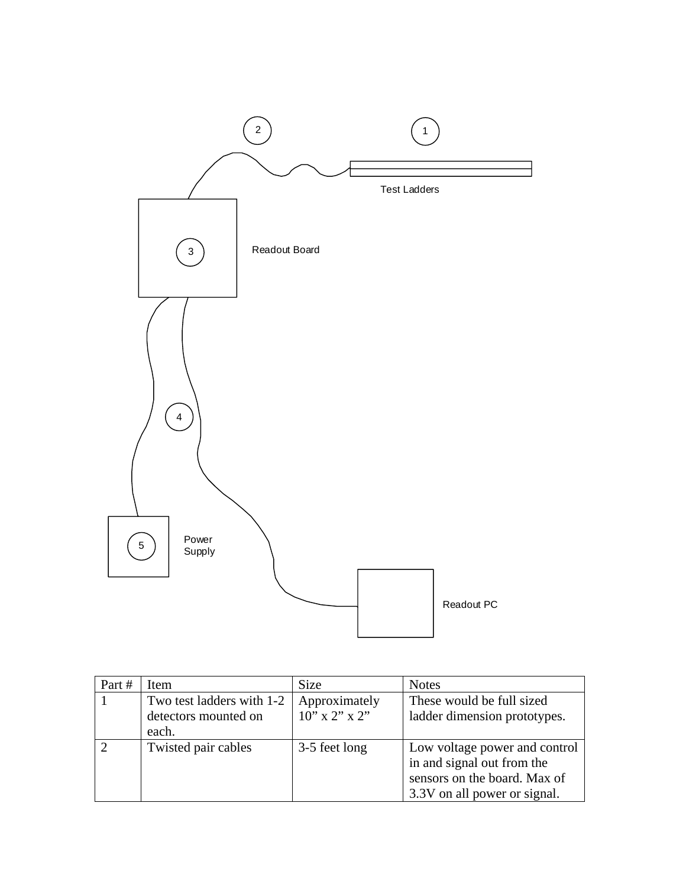

| Part # | Item                                                       | <b>Size</b>                       | <b>Notes</b>                                                                                                                |
|--------|------------------------------------------------------------|-----------------------------------|-----------------------------------------------------------------------------------------------------------------------------|
|        | Two test ladders with 1-2<br>detectors mounted on<br>each. | Approximately<br>$10''$ x 2" x 2" | These would be full sized<br>ladder dimension prototypes.                                                                   |
|        | Twisted pair cables                                        | 3-5 feet long                     | Low voltage power and control<br>in and signal out from the<br>sensors on the board. Max of<br>3.3V on all power or signal. |